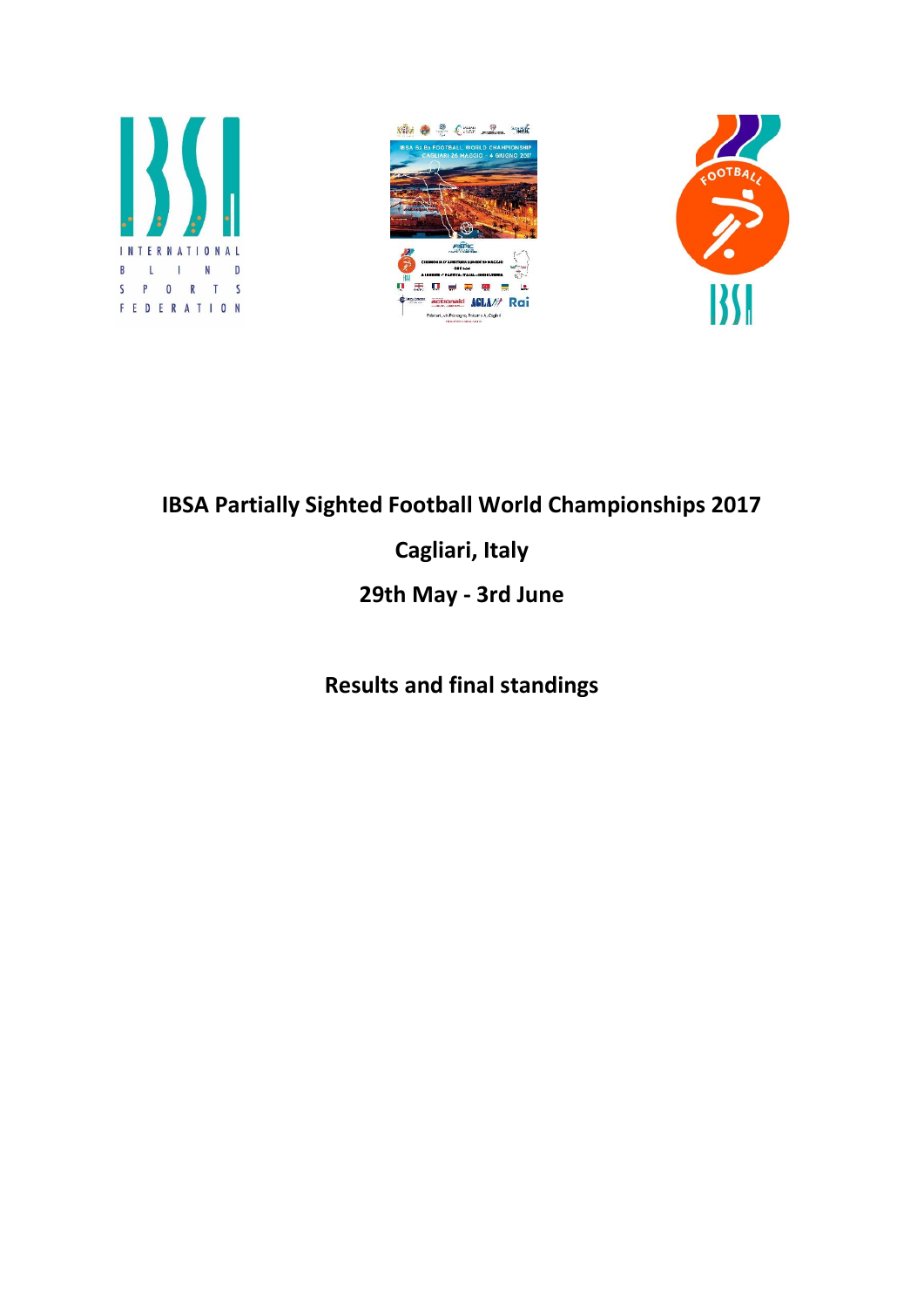

# **IBSA Partially Sighted Football World Championships 2017**

# **Cagliari, Italy**

# **29th May - 3rd June**

# **Results and final standings**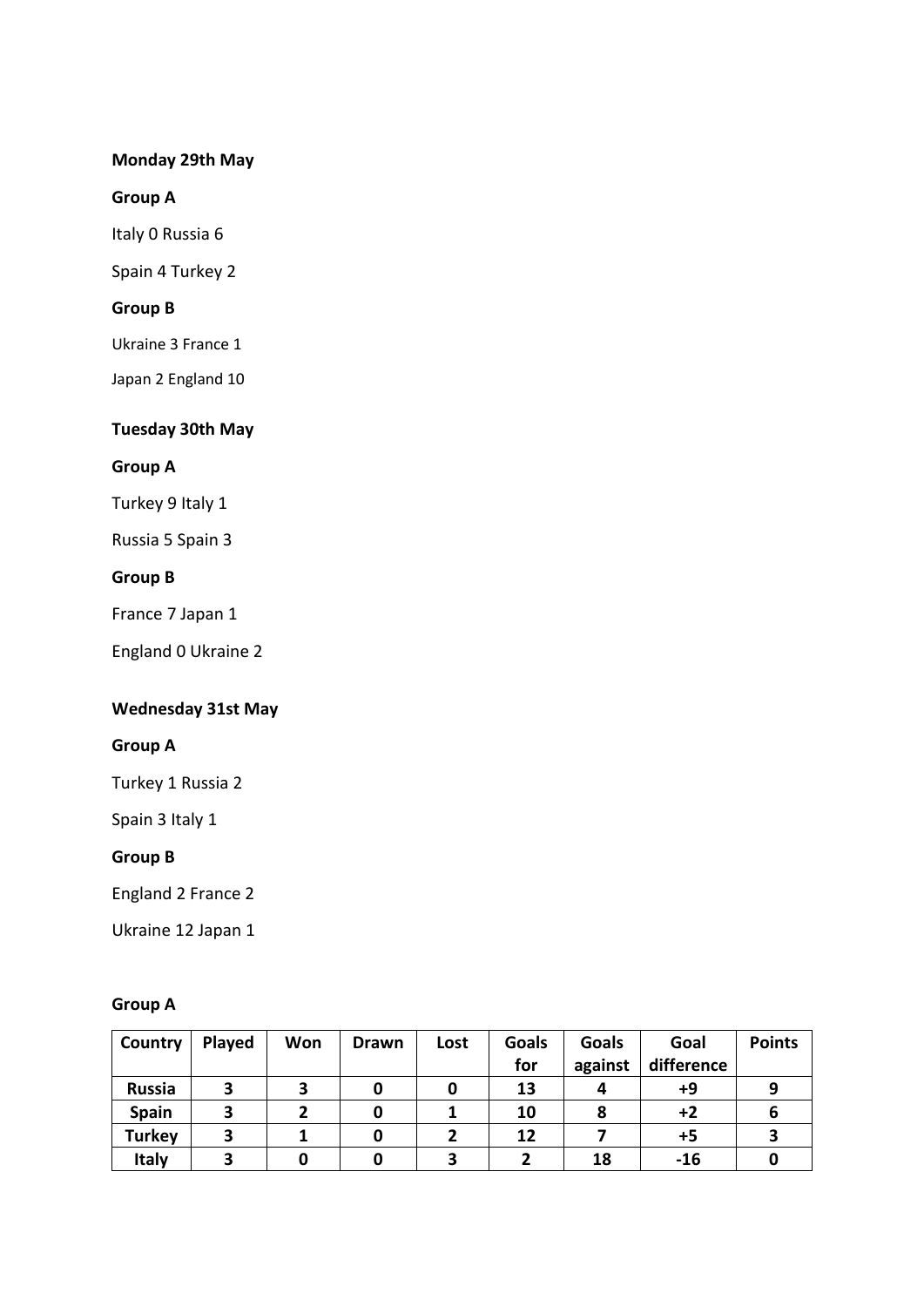#### **Monday 29th May**

#### **Group A**

Italy 0 Russia 6

Spain 4 Turkey 2

#### **Group B**

Ukraine 3 France 1

Japan 2 England 10

## **Tuesday 30th May**

#### **Group A**

Turkey 9 Italy 1

Russia 5 Spain 3

#### **Group B**

France 7 Japan 1

England 0 Ukraine 2

## **Wednesday 31st May**

#### **Group A**

Turkey 1 Russia 2

Spain 3 Italy 1

#### **Group B**

England 2 France 2

Ukraine 12 Japan 1

#### **Group A**

| Country       | <b>Played</b> | Won | <b>Drawn</b> | Lost | <b>Goals</b> | <b>Goals</b> | Goal       | <b>Points</b> |
|---------------|---------------|-----|--------------|------|--------------|--------------|------------|---------------|
|               |               |     |              |      | for          | against      | difference |               |
| <b>Russia</b> | 3             |     |              | O    | 13           |              | +9         |               |
| Spain         | 3             | ּ״  | 0            |      | 10           |              | $+2$       |               |
| <b>Turkey</b> | З             |     | 0            |      | 12           |              | +5         |               |
| <b>Italy</b>  |               |     |              |      |              | 18           | $-16$      |               |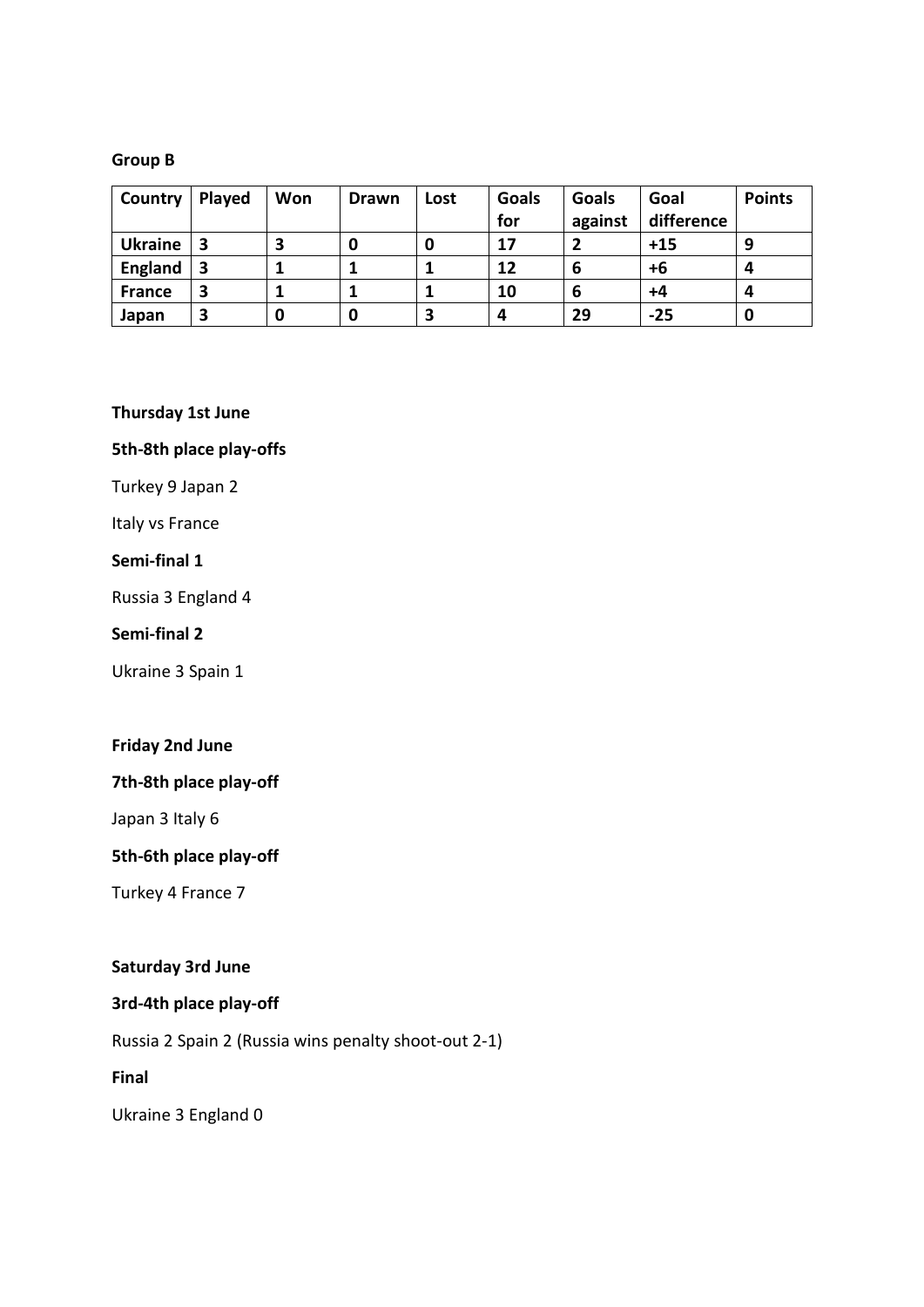#### **Group B**

| Country        | Played | Won | <b>Drawn</b> | Lost | <b>Goals</b> | Goals   | Goal       | <b>Points</b> |
|----------------|--------|-----|--------------|------|--------------|---------|------------|---------------|
|                |        |     |              |      | for          | against | difference |               |
| <b>Ukraine</b> | 3      | 3   | υ            | υ    | 17           | ני      | $+15$      | 9             |
| <b>England</b> | 3      |     |              |      | 12           | 6       | +6         | 4             |
| <b>France</b>  | 3      |     |              |      | 10           | 6       | $+4$       | 4             |
| Japan          | 3      | 0   | 0            | 3    | 4            | 29      | $-25$      | 0             |

**Thursday 1st June**

#### **5th-8th place play-offs**

Turkey 9 Japan 2

Italy vs France

#### **Semi-final 1**

Russia 3 England 4

#### **Semi-final 2**

Ukraine 3 Spain 1

#### **Friday 2nd June**

## **7th-8th place play-off**

Japan 3 Italy 6

#### **5th-6th place play-off**

Turkey 4 France 7

#### **Saturday 3rd June**

## **3rd-4th place play-off**

Russia 2 Spain 2 (Russia wins penalty shoot-out 2-1)

**Final**

Ukraine 3 England 0